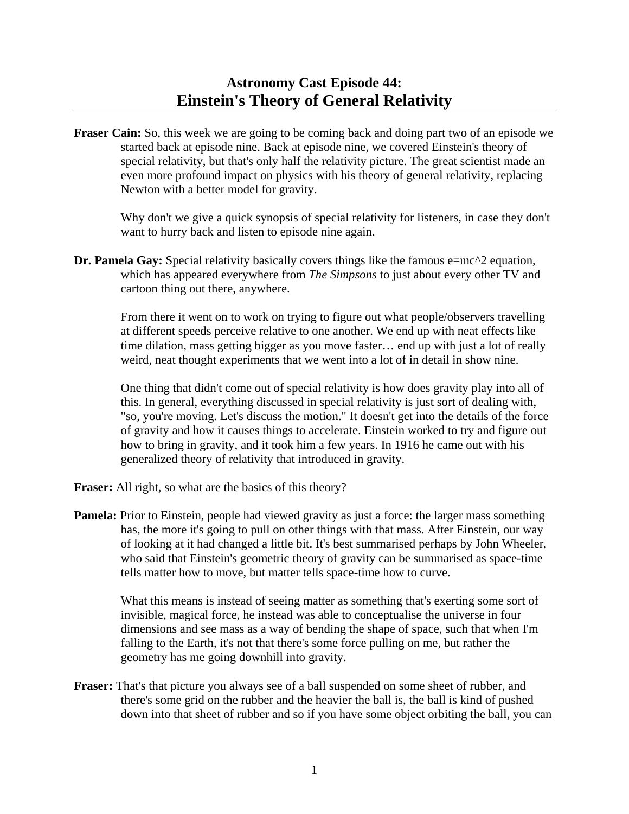**Fraser Cain:** So, this week we are going to be coming back and doing part two of an episode we started back at episode nine. Back at episode nine, we covered Einstein's theory of special relativity, but that's only half the relativity picture. The great scientist made an even more profound impact on physics with his theory of general relativity, replacing Newton with a better model for gravity.

 Why don't we give a quick synopsis of special relativity for listeners, in case they don't want to hurry back and listen to episode nine again.

**Dr. Pamela Gay:** Special relativity basically covers things like the famous e=mc^2 equation, which has appeared everywhere from *The Simpsons* to just about every other TV and cartoon thing out there, anywhere.

 From there it went on to work on trying to figure out what people/observers travelling at different speeds perceive relative to one another. We end up with neat effects like time dilation, mass getting bigger as you move faster… end up with just a lot of really weird, neat thought experiments that we went into a lot of in detail in show nine.

 One thing that didn't come out of special relativity is how does gravity play into all of this. In general, everything discussed in special relativity is just sort of dealing with, "so, you're moving. Let's discuss the motion." It doesn't get into the details of the force of gravity and how it causes things to accelerate. Einstein worked to try and figure out how to bring in gravity, and it took him a few years. In 1916 he came out with his generalized theory of relativity that introduced in gravity.

**Fraser:** All right, so what are the basics of this theory?

**Pamela:** Prior to Einstein, people had viewed gravity as just a force: the larger mass something has, the more it's going to pull on other things with that mass. After Einstein, our way of looking at it had changed a little bit. It's best summarised perhaps by John Wheeler, who said that Einstein's geometric theory of gravity can be summarised as space-time tells matter how to move, but matter tells space-time how to curve.

 What this means is instead of seeing matter as something that's exerting some sort of invisible, magical force, he instead was able to conceptualise the universe in four dimensions and see mass as a way of bending the shape of space, such that when I'm falling to the Earth, it's not that there's some force pulling on me, but rather the geometry has me going downhill into gravity.

**Fraser:** That's that picture you always see of a ball suspended on some sheet of rubber, and there's some grid on the rubber and the heavier the ball is, the ball is kind of pushed down into that sheet of rubber and so if you have some object orbiting the ball, you can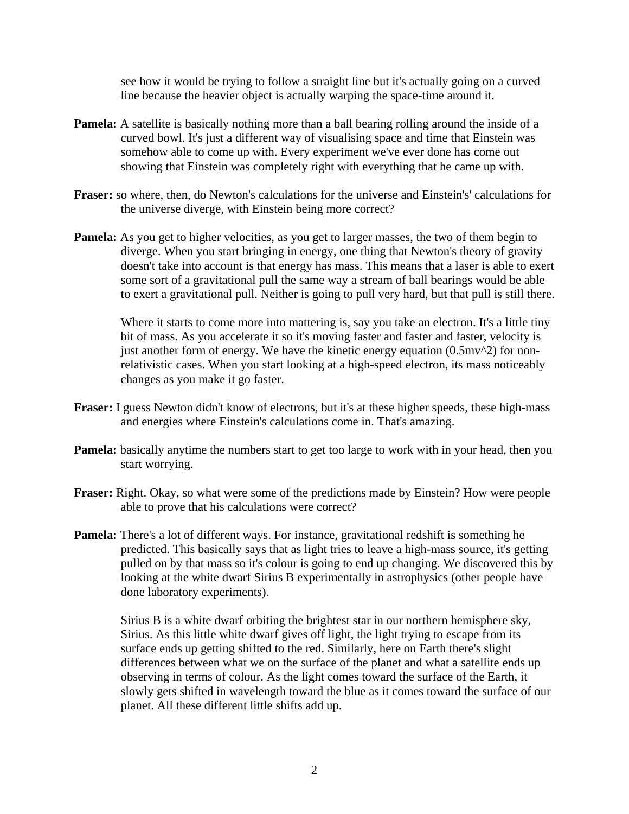see how it would be trying to follow a straight line but it's actually going on a curved line because the heavier object is actually warping the space-time around it.

- **Pamela:** A satellite is basically nothing more than a ball bearing rolling around the inside of a curved bowl. It's just a different way of visualising space and time that Einstein was somehow able to come up with. Every experiment we've ever done has come out showing that Einstein was completely right with everything that he came up with.
- **Fraser:** so where, then, do Newton's calculations for the universe and Einstein's' calculations for the universe diverge, with Einstein being more correct?
- **Pamela:** As you get to higher velocities, as you get to larger masses, the two of them begin to diverge. When you start bringing in energy, one thing that Newton's theory of gravity doesn't take into account is that energy has mass. This means that a laser is able to exert some sort of a gravitational pull the same way a stream of ball bearings would be able to exert a gravitational pull. Neither is going to pull very hard, but that pull is still there.

Where it starts to come more into mattering is, say you take an electron. It's a little tiny bit of mass. As you accelerate it so it's moving faster and faster and faster, velocity is just another form of energy. We have the kinetic energy equation  $(0.5 \text{m}v^2)$  for nonrelativistic cases. When you start looking at a high-speed electron, its mass noticeably changes as you make it go faster.

- **Fraser:** I guess Newton didn't know of electrons, but it's at these higher speeds, these high-mass and energies where Einstein's calculations come in. That's amazing.
- **Pamela:** basically anytime the numbers start to get too large to work with in your head, then you start worrying.
- **Fraser:** Right. Okay, so what were some of the predictions made by Einstein? How were people able to prove that his calculations were correct?
- **Pamela:** There's a lot of different ways. For instance, gravitational redshift is something he predicted. This basically says that as light tries to leave a high-mass source, it's getting pulled on by that mass so it's colour is going to end up changing. We discovered this by looking at the white dwarf Sirius B experimentally in astrophysics (other people have done laboratory experiments).

 Sirius B is a white dwarf orbiting the brightest star in our northern hemisphere sky, Sirius. As this little white dwarf gives off light, the light trying to escape from its surface ends up getting shifted to the red. Similarly, here on Earth there's slight differences between what we on the surface of the planet and what a satellite ends up observing in terms of colour. As the light comes toward the surface of the Earth, it slowly gets shifted in wavelength toward the blue as it comes toward the surface of our planet. All these different little shifts add up.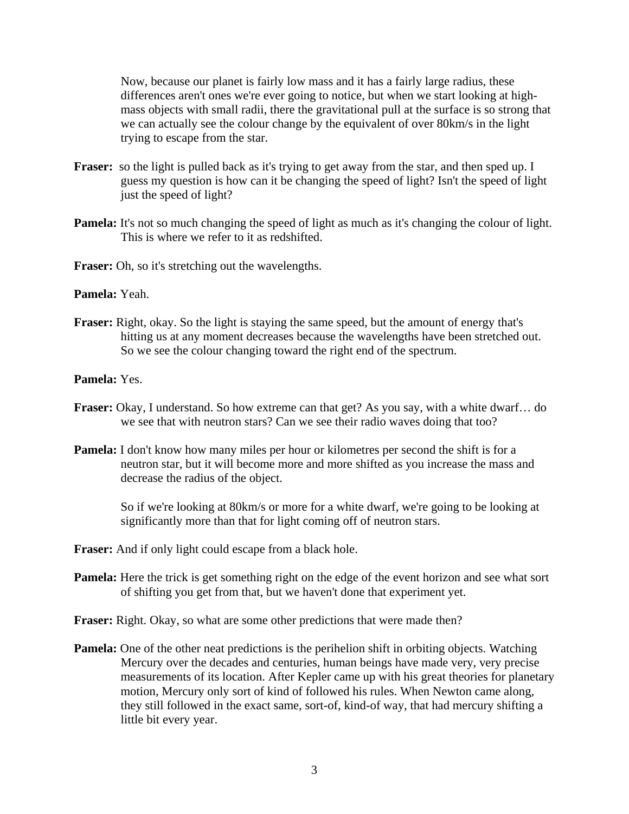Now, because our planet is fairly low mass and it has a fairly large radius, these differences aren't ones we're ever going to notice, but when we start looking at highmass objects with small radii, there the gravitational pull at the surface is so strong that we can actually see the colour change by the equivalent of over 80km/s in the light trying to escape from the star.

- **Fraser:** so the light is pulled back as it's trying to get away from the star, and then sped up. I guess my question is how can it be changing the speed of light? Isn't the speed of light just the speed of light?
- **Pamela:** It's not so much changing the speed of light as much as it's changing the colour of light. This is where we refer to it as redshifted.

Fraser: Oh, so it's stretching out the wavelengths.

**Pamela:** Yeah.

**Fraser:** Right, okay. So the light is staying the same speed, but the amount of energy that's hitting us at any moment decreases because the wavelengths have been stretched out. So we see the colour changing toward the right end of the spectrum.

**Pamela:** Yes.

- **Fraser:** Okay, I understand. So how extreme can that get? As you say, with a white dwarf… do we see that with neutron stars? Can we see their radio waves doing that too?
- **Pamela:** I don't know how many miles per hour or kilometres per second the shift is for a neutron star, but it will become more and more shifted as you increase the mass and decrease the radius of the object.

 So if we're looking at 80km/s or more for a white dwarf, we're going to be looking at significantly more than that for light coming off of neutron stars.

**Fraser:** And if only light could escape from a black hole.

**Pamela:** Here the trick is get something right on the edge of the event horizon and see what sort of shifting you get from that, but we haven't done that experiment yet.

**Fraser:** Right. Okay, so what are some other predictions that were made then?

**Pamela:** One of the other neat predictions is the perihelion shift in orbiting objects. Watching Mercury over the decades and centuries, human beings have made very, very precise measurements of its location. After Kepler came up with his great theories for planetary motion, Mercury only sort of kind of followed his rules. When Newton came along, they still followed in the exact same, sort-of, kind-of way, that had mercury shifting a little bit every year.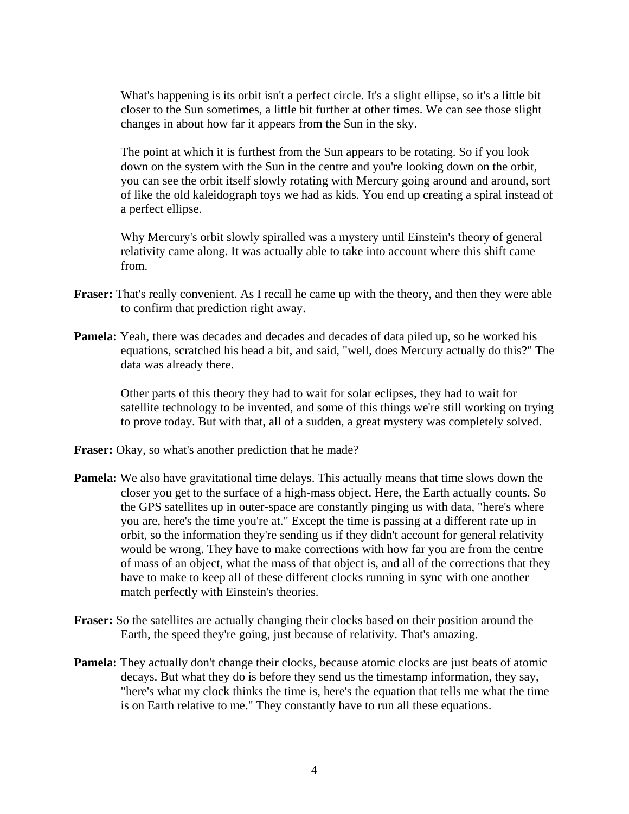What's happening is its orbit isn't a perfect circle. It's a slight ellipse, so it's a little bit closer to the Sun sometimes, a little bit further at other times. We can see those slight changes in about how far it appears from the Sun in the sky.

 The point at which it is furthest from the Sun appears to be rotating. So if you look down on the system with the Sun in the centre and you're looking down on the orbit, you can see the orbit itself slowly rotating with Mercury going around and around, sort of like the old kaleidograph toys we had as kids. You end up creating a spiral instead of a perfect ellipse.

 Why Mercury's orbit slowly spiralled was a mystery until Einstein's theory of general relativity came along. It was actually able to take into account where this shift came from.

- **Fraser:** That's really convenient. As I recall he came up with the theory, and then they were able to confirm that prediction right away.
- **Pamela:** Yeah, there was decades and decades and decades of data piled up, so he worked his equations, scratched his head a bit, and said, "well, does Mercury actually do this?" The data was already there.

 Other parts of this theory they had to wait for solar eclipses, they had to wait for satellite technology to be invented, and some of this things we're still working on trying to prove today. But with that, all of a sudden, a great mystery was completely solved.

**Fraser:** Okay, so what's another prediction that he made?

- **Pamela:** We also have gravitational time delays. This actually means that time slows down the closer you get to the surface of a high-mass object. Here, the Earth actually counts. So the GPS satellites up in outer-space are constantly pinging us with data, "here's where you are, here's the time you're at." Except the time is passing at a different rate up in orbit, so the information they're sending us if they didn't account for general relativity would be wrong. They have to make corrections with how far you are from the centre of mass of an object, what the mass of that object is, and all of the corrections that they have to make to keep all of these different clocks running in sync with one another match perfectly with Einstein's theories.
- **Fraser:** So the satellites are actually changing their clocks based on their position around the Earth, the speed they're going, just because of relativity. That's amazing.
- **Pamela:** They actually don't change their clocks, because atomic clocks are just beats of atomic decays. But what they do is before they send us the timestamp information, they say, "here's what my clock thinks the time is, here's the equation that tells me what the time is on Earth relative to me." They constantly have to run all these equations.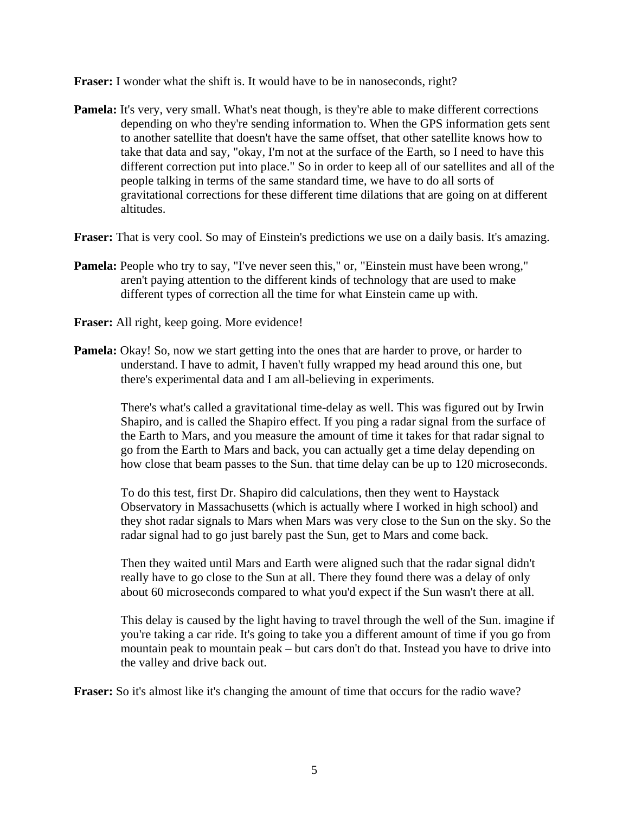**Fraser:** I wonder what the shift is. It would have to be in nanoseconds, right?

**Pamela:** It's very, very small. What's neat though, is they're able to make different corrections depending on who they're sending information to. When the GPS information gets sent to another satellite that doesn't have the same offset, that other satellite knows how to take that data and say, "okay, I'm not at the surface of the Earth, so I need to have this different correction put into place." So in order to keep all of our satellites and all of the people talking in terms of the same standard time, we have to do all sorts of gravitational corrections for these different time dilations that are going on at different altitudes.

**Fraser:** That is very cool. So may of Einstein's predictions we use on a daily basis. It's amazing.

- **Pamela:** People who try to say, "I've never seen this," or, "Einstein must have been wrong," aren't paying attention to the different kinds of technology that are used to make different types of correction all the time for what Einstein came up with.
- **Fraser:** All right, keep going. More evidence!
- **Pamela:** Okay! So, now we start getting into the ones that are harder to prove, or harder to understand. I have to admit, I haven't fully wrapped my head around this one, but there's experimental data and I am all-believing in experiments.

 There's what's called a gravitational time-delay as well. This was figured out by Irwin Shapiro, and is called the Shapiro effect. If you ping a radar signal from the surface of the Earth to Mars, and you measure the amount of time it takes for that radar signal to go from the Earth to Mars and back, you can actually get a time delay depending on how close that beam passes to the Sun. that time delay can be up to 120 microseconds.

 To do this test, first Dr. Shapiro did calculations, then they went to Haystack Observatory in Massachusetts (which is actually where I worked in high school) and they shot radar signals to Mars when Mars was very close to the Sun on the sky. So the radar signal had to go just barely past the Sun, get to Mars and come back.

 Then they waited until Mars and Earth were aligned such that the radar signal didn't really have to go close to the Sun at all. There they found there was a delay of only about 60 microseconds compared to what you'd expect if the Sun wasn't there at all.

 This delay is caused by the light having to travel through the well of the Sun. imagine if you're taking a car ride. It's going to take you a different amount of time if you go from mountain peak to mountain peak – but cars don't do that. Instead you have to drive into the valley and drive back out.

**Fraser:** So it's almost like it's changing the amount of time that occurs for the radio wave?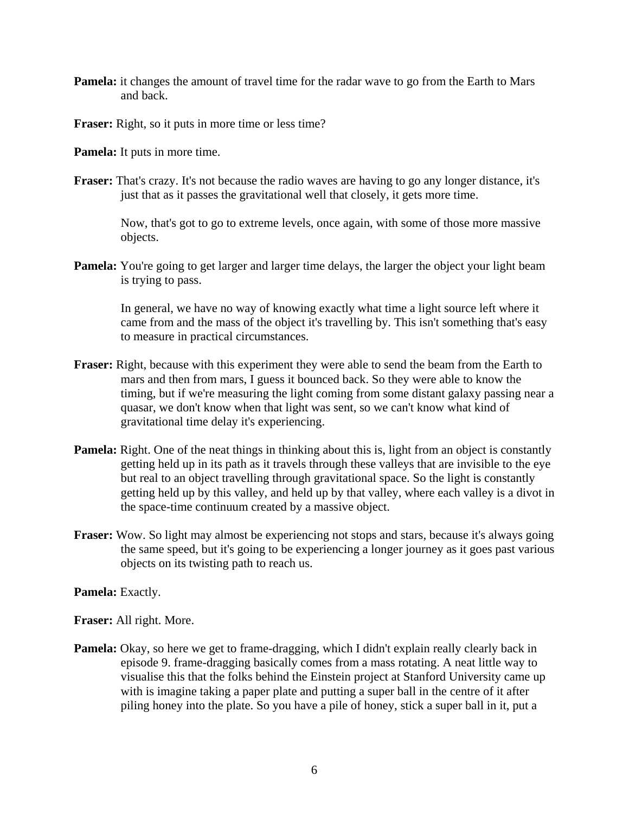**Pamela:** it changes the amount of travel time for the radar wave to go from the Earth to Mars and back.

**Fraser:** Right, so it puts in more time or less time?

**Pamela:** It puts in more time.

**Fraser:** That's crazy. It's not because the radio waves are having to go any longer distance, it's just that as it passes the gravitational well that closely, it gets more time.

 Now, that's got to go to extreme levels, once again, with some of those more massive objects.

**Pamela:** You're going to get larger and larger time delays, the larger the object your light beam is trying to pass.

 In general, we have no way of knowing exactly what time a light source left where it came from and the mass of the object it's travelling by. This isn't something that's easy to measure in practical circumstances.

- **Fraser:** Right, because with this experiment they were able to send the beam from the Earth to mars and then from mars, I guess it bounced back. So they were able to know the timing, but if we're measuring the light coming from some distant galaxy passing near a quasar, we don't know when that light was sent, so we can't know what kind of gravitational time delay it's experiencing.
- **Pamela:** Right. One of the neat things in thinking about this is, light from an object is constantly getting held up in its path as it travels through these valleys that are invisible to the eye but real to an object travelling through gravitational space. So the light is constantly getting held up by this valley, and held up by that valley, where each valley is a divot in the space-time continuum created by a massive object.
- **Fraser:** Wow. So light may almost be experiencing not stops and stars, because it's always going the same speed, but it's going to be experiencing a longer journey as it goes past various objects on its twisting path to reach us.

**Pamela:** Exactly.

**Fraser:** All right. More.

**Pamela:** Okay, so here we get to frame-dragging, which I didn't explain really clearly back in episode 9. frame-dragging basically comes from a mass rotating. A neat little way to visualise this that the folks behind the Einstein project at Stanford University came up with is imagine taking a paper plate and putting a super ball in the centre of it after piling honey into the plate. So you have a pile of honey, stick a super ball in it, put a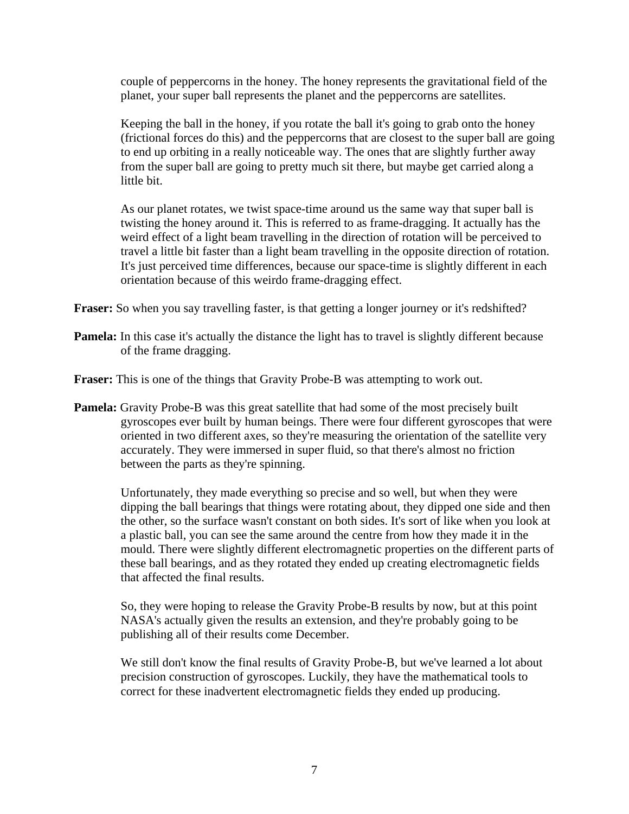couple of peppercorns in the honey. The honey represents the gravitational field of the planet, your super ball represents the planet and the peppercorns are satellites.

 Keeping the ball in the honey, if you rotate the ball it's going to grab onto the honey (frictional forces do this) and the peppercorns that are closest to the super ball are going to end up orbiting in a really noticeable way. The ones that are slightly further away from the super ball are going to pretty much sit there, but maybe get carried along a little bit.

 As our planet rotates, we twist space-time around us the same way that super ball is twisting the honey around it. This is referred to as frame-dragging. It actually has the weird effect of a light beam travelling in the direction of rotation will be perceived to travel a little bit faster than a light beam travelling in the opposite direction of rotation. It's just perceived time differences, because our space-time is slightly different in each orientation because of this weirdo frame-dragging effect.

**Fraser:** So when you say travelling faster, is that getting a longer journey or it's redshifted?

**Pamela:** In this case it's actually the distance the light has to travel is slightly different because of the frame dragging.

**Fraser:** This is one of the things that Gravity Probe-B was attempting to work out.

**Pamela:** Gravity Probe-B was this great satellite that had some of the most precisely built gyroscopes ever built by human beings. There were four different gyroscopes that were oriented in two different axes, so they're measuring the orientation of the satellite very accurately. They were immersed in super fluid, so that there's almost no friction between the parts as they're spinning.

 Unfortunately, they made everything so precise and so well, but when they were dipping the ball bearings that things were rotating about, they dipped one side and then the other, so the surface wasn't constant on both sides. It's sort of like when you look at a plastic ball, you can see the same around the centre from how they made it in the mould. There were slightly different electromagnetic properties on the different parts of these ball bearings, and as they rotated they ended up creating electromagnetic fields that affected the final results.

 So, they were hoping to release the Gravity Probe-B results by now, but at this point NASA's actually given the results an extension, and they're probably going to be publishing all of their results come December.

 We still don't know the final results of Gravity Probe-B, but we've learned a lot about precision construction of gyroscopes. Luckily, they have the mathematical tools to correct for these inadvertent electromagnetic fields they ended up producing.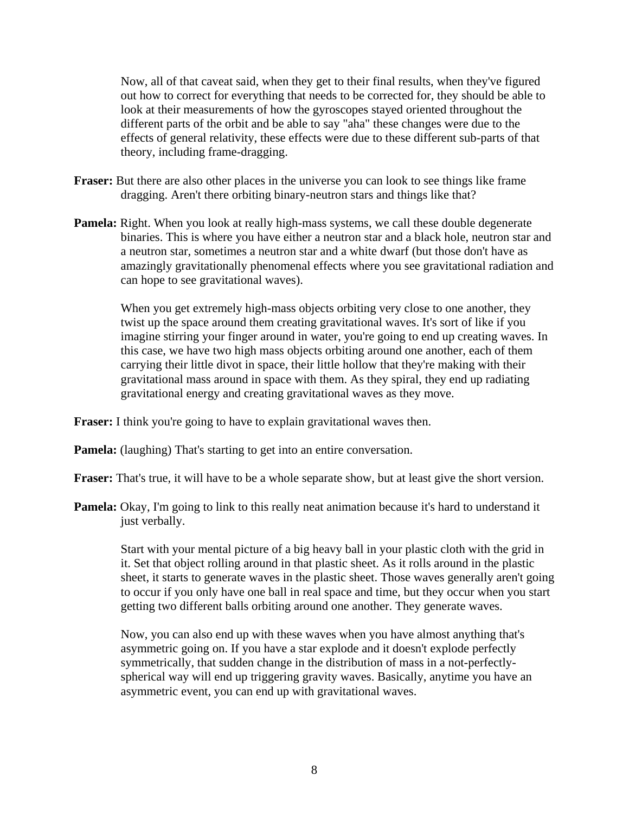Now, all of that caveat said, when they get to their final results, when they've figured out how to correct for everything that needs to be corrected for, they should be able to look at their measurements of how the gyroscopes stayed oriented throughout the different parts of the orbit and be able to say "aha" these changes were due to the effects of general relativity, these effects were due to these different sub-parts of that theory, including frame-dragging.

- **Fraser:** But there are also other places in the universe you can look to see things like frame dragging. Aren't there orbiting binary-neutron stars and things like that?
- **Pamela:** Right. When you look at really high-mass systems, we call these double degenerate binaries. This is where you have either a neutron star and a black hole, neutron star and a neutron star, sometimes a neutron star and a white dwarf (but those don't have as amazingly gravitationally phenomenal effects where you see gravitational radiation and can hope to see gravitational waves).

 When you get extremely high-mass objects orbiting very close to one another, they twist up the space around them creating gravitational waves. It's sort of like if you imagine stirring your finger around in water, you're going to end up creating waves. In this case, we have two high mass objects orbiting around one another, each of them carrying their little divot in space, their little hollow that they're making with their gravitational mass around in space with them. As they spiral, they end up radiating gravitational energy and creating gravitational waves as they move.

**Fraser:** I think you're going to have to explain gravitational waves then.

**Pamela:** (laughing) That's starting to get into an entire conversation.

**Fraser:** That's true, it will have to be a whole separate show, but at least give the short version.

**Pamela:** Okay, I'm going to link to this really neat animation because it's hard to understand it just verbally.

 Start with your mental picture of a big heavy ball in your plastic cloth with the grid in it. Set that object rolling around in that plastic sheet. As it rolls around in the plastic sheet, it starts to generate waves in the plastic sheet. Those waves generally aren't going to occur if you only have one ball in real space and time, but they occur when you start getting two different balls orbiting around one another. They generate waves.

 Now, you can also end up with these waves when you have almost anything that's asymmetric going on. If you have a star explode and it doesn't explode perfectly symmetrically, that sudden change in the distribution of mass in a not-perfectlyspherical way will end up triggering gravity waves. Basically, anytime you have an asymmetric event, you can end up with gravitational waves.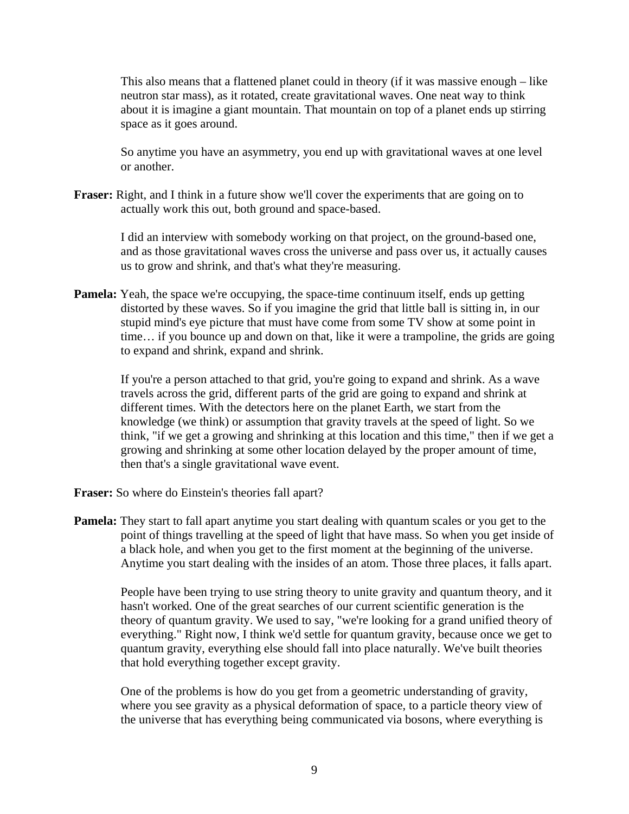This also means that a flattened planet could in theory (if it was massive enough – like neutron star mass), as it rotated, create gravitational waves. One neat way to think about it is imagine a giant mountain. That mountain on top of a planet ends up stirring space as it goes around.

 So anytime you have an asymmetry, you end up with gravitational waves at one level or another.

**Fraser:** Right, and I think in a future show we'll cover the experiments that are going on to actually work this out, both ground and space-based.

> I did an interview with somebody working on that project, on the ground-based one, and as those gravitational waves cross the universe and pass over us, it actually causes us to grow and shrink, and that's what they're measuring.

**Pamela:** Yeah, the space we're occupying, the space-time continuum itself, ends up getting distorted by these waves. So if you imagine the grid that little ball is sitting in, in our stupid mind's eye picture that must have come from some TV show at some point in time… if you bounce up and down on that, like it were a trampoline, the grids are going to expand and shrink, expand and shrink.

 If you're a person attached to that grid, you're going to expand and shrink. As a wave travels across the grid, different parts of the grid are going to expand and shrink at different times. With the detectors here on the planet Earth, we start from the knowledge (we think) or assumption that gravity travels at the speed of light. So we think, "if we get a growing and shrinking at this location and this time," then if we get a growing and shrinking at some other location delayed by the proper amount of time, then that's a single gravitational wave event.

**Fraser:** So where do Einstein's theories fall apart?

**Pamela:** They start to fall apart anytime you start dealing with quantum scales or you get to the point of things travelling at the speed of light that have mass. So when you get inside of a black hole, and when you get to the first moment at the beginning of the universe. Anytime you start dealing with the insides of an atom. Those three places, it falls apart.

 People have been trying to use string theory to unite gravity and quantum theory, and it hasn't worked. One of the great searches of our current scientific generation is the theory of quantum gravity. We used to say, "we're looking for a grand unified theory of everything." Right now, I think we'd settle for quantum gravity, because once we get to quantum gravity, everything else should fall into place naturally. We've built theories that hold everything together except gravity.

 One of the problems is how do you get from a geometric understanding of gravity, where you see gravity as a physical deformation of space, to a particle theory view of the universe that has everything being communicated via bosons, where everything is